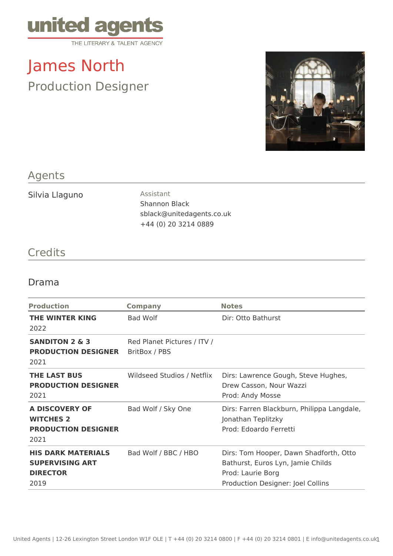

## James North Production Designer



## Agents

Silvia Llaguno **Assistant** 

Shannon Black sblack@unitedagents.co.uk +44 (0) 20 3214 0889

## **Credits**

## Drama

| <b>Production</b>                                                              | <b>Company</b>                               | <b>Notes</b>                                                                                                                          |
|--------------------------------------------------------------------------------|----------------------------------------------|---------------------------------------------------------------------------------------------------------------------------------------|
| <b>THE WINTER KING</b><br>2022                                                 | <b>Bad Wolf</b>                              | Dir: Otto Bathurst                                                                                                                    |
| <b>SANDITON 2 &amp; 3</b><br><b>PRODUCTION DESIGNER</b><br>2021                | Red Planet Pictures / ITV /<br>BritBox / PBS |                                                                                                                                       |
| <b>THE LAST BUS</b><br><b>PRODUCTION DESIGNER</b><br>2021                      | Wildseed Studios / Netflix                   | Dirs: Lawrence Gough, Steve Hughes,<br>Drew Casson, Nour Wazzi<br>Prod: Andy Mosse                                                    |
| A DISCOVERY OF<br><b>WITCHES 2</b><br><b>PRODUCTION DESIGNER</b><br>2021       | Bad Wolf / Sky One                           | Dirs: Farren Blackburn, Philippa Langdale,<br>Jonathan Teplitzky<br>Prod: Edoardo Ferretti                                            |
| <b>HIS DARK MATERIALS</b><br><b>SUPERVISING ART</b><br><b>DIRECTOR</b><br>2019 | Bad Wolf / BBC / HBO                         | Dirs: Tom Hooper, Dawn Shadforth, Otto<br>Bathurst, Euros Lyn, Jamie Childs<br>Prod: Laurie Borg<br>Production Designer: Joel Collins |